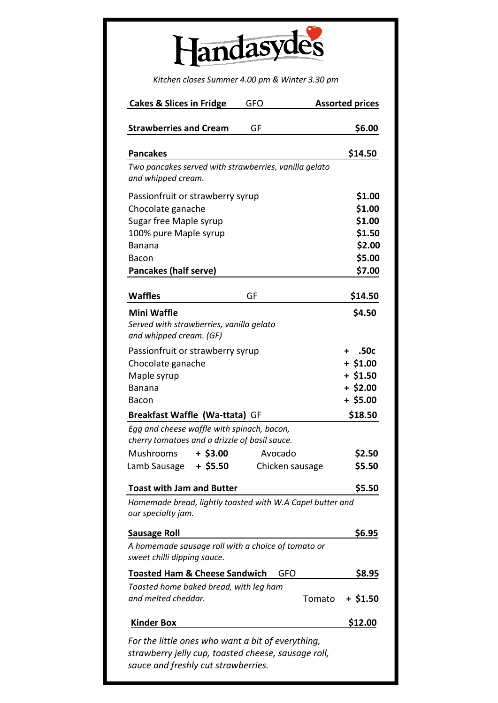| andasvo. |
|----------|
|          |

*Kitchen closes Summer 4.00 pm & Winter 3.30 pm*

| <b>Cakes &amp; Slices in Fridge</b>                                                                                                             | <b>GFO</b>      | <b>Assorted prices</b> |
|-------------------------------------------------------------------------------------------------------------------------------------------------|-----------------|------------------------|
| <b>Strawberries and Cream</b>                                                                                                                   | GF              | \$6.00                 |
| <b>Pancakes</b>                                                                                                                                 |                 | \$14.50                |
| Two pancakes served with strawberries, vanilla gelato                                                                                           |                 |                        |
| and whipped cream.                                                                                                                              |                 |                        |
| Passionfruit or strawberry syrup                                                                                                                |                 | \$1.00                 |
| Chocolate ganache                                                                                                                               |                 | \$1.00                 |
| Sugar free Maple syrup                                                                                                                          |                 | \$1.00                 |
| 100% pure Maple syrup                                                                                                                           |                 | \$1.50                 |
| Banana                                                                                                                                          |                 | \$2.00                 |
| Bacon                                                                                                                                           |                 | \$5.00                 |
| <b>Pancakes (half serve)</b>                                                                                                                    |                 | \$7.00                 |
| <b>Waffles</b>                                                                                                                                  | GF              | \$14.50                |
| <b>Mini Waffle</b>                                                                                                                              |                 | \$4.50                 |
| Served with strawberries, vanilla gelato                                                                                                        |                 |                        |
| and whipped cream. (GF)                                                                                                                         |                 |                        |
| Passionfruit or strawberry syrup                                                                                                                |                 | .50c<br>$\ddot{}$      |
| Chocolate ganache                                                                                                                               |                 | $+ $1.00$              |
| Maple syrup                                                                                                                                     |                 | $+ $1.50$              |
| <b>Banana</b>                                                                                                                                   |                 | $+$ \$2.00             |
| <b>Bacon</b>                                                                                                                                    |                 | $+$ \$5.00             |
| Breakfast Waffle (Wa-ttata) GF                                                                                                                  |                 | \$18.50                |
| Egg and cheese waffle with spinach, bacon,<br>cherry tomatoes and a drizzle of basil sauce.                                                     |                 |                        |
| Mushrooms<br>$+$ \$3.00                                                                                                                         | Avocado         | \$2.50                 |
| $+$ \$5.50<br>Lamb Sausage                                                                                                                      | Chicken sausage | \$5.50                 |
|                                                                                                                                                 |                 |                        |
| <b>Toast with Jam and Butter</b>                                                                                                                |                 | \$5.50                 |
| Homemade bread, lightly toasted with W.A Capel butter and<br>our specialty jam.                                                                 |                 |                        |
| <b>Sausage Roll</b>                                                                                                                             |                 | \$6.95                 |
| A homemade sausage roll with a choice of tomato or<br>sweet chilli dipping sauce.                                                               |                 |                        |
| <b>Toasted Ham &amp; Cheese Sandwich</b>                                                                                                        | GFO             | \$8.95                 |
| Toasted home baked bread, with leg ham                                                                                                          |                 |                        |
| and melted cheddar.                                                                                                                             |                 | + \$1.50<br>Tomato     |
| <b>Kinder Box</b>                                                                                                                               |                 | \$12.00                |
| For the little ones who want a bit of everything,<br>strawberry jelly cup, toasted cheese, sausage roll,<br>sauce and freshly cut strawberries. |                 |                        |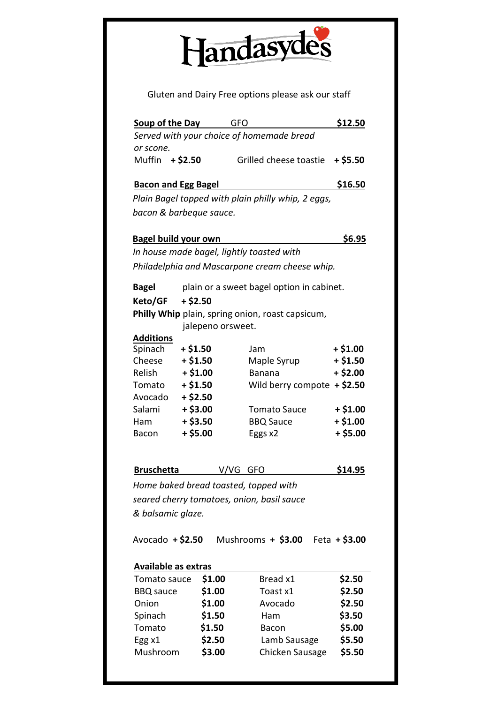

Gluten and Dairy Free options please ask our staff

|                             | Soup of the Day<br>GFO                    |                                                    | \$12.50         |
|-----------------------------|-------------------------------------------|----------------------------------------------------|-----------------|
|                             |                                           | Served with your choice of homemade bread          |                 |
| or scone.                   |                                           |                                                    |                 |
| Muffin + \$2.50             |                                           | Grilled cheese toastie                             | $+ $5.50$       |
| <b>Bacon and Egg Bagel</b>  |                                           |                                                    | \$16.50         |
|                             |                                           | Plain Bagel topped with plain philly whip, 2 eggs, |                 |
|                             | bacon & barbeque sauce.                   |                                                    |                 |
|                             |                                           |                                                    |                 |
| <b>Bagel build your own</b> |                                           |                                                    | \$6.95          |
|                             | In house made bagel, lightly toasted with |                                                    |                 |
|                             |                                           | Philadelphia and Mascarpone cream cheese whip.     |                 |
|                             |                                           |                                                    |                 |
| <b>Bagel</b>                |                                           | plain or a sweet bagel option in cabinet.          |                 |
| Keto/GF                     | $+ $2.50$                                 |                                                    |                 |
|                             |                                           | Philly Whip plain, spring onion, roast capsicum,   |                 |
|                             | jalepeno orsweet.                         |                                                    |                 |
| <b>Additions</b>            | $+ $1.50$                                 | Jam                                                | $+ $1.00$       |
| Spinach<br>Cheese           | $+ $1.50$                                 | Maple Syrup                                        | $+ $1.50$       |
| Relish                      | $+ $1.00$                                 | <b>Banana</b>                                      | $+ $2.00$       |
| Tomato                      | $+ $1.50$                                 | Wild berry compote $+$ \$2.50                      |                 |
| Avocado                     | $+ $2.50$                                 |                                                    |                 |
| Salami                      | $+$ \$3.00                                | <b>Tomato Sauce</b>                                | $+ $1.00$       |
| Ham                         | $+ $3.50$                                 | <b>BBQ Sauce</b>                                   | $+ $1.00$       |
| <b>Bacon</b>                | $+ $5.00$                                 | Eggs x2                                            | $+ $5.00$       |
|                             |                                           |                                                    |                 |
| <b>Bruschetta</b>           | V/VG                                      | GFO                                                | \$14.95         |
|                             |                                           |                                                    |                 |
|                             | Home baked bread toasted, topped with     |                                                    |                 |
|                             |                                           | seared cherry tomatoes, onion, basil sauce         |                 |
| & balsamic glaze.           |                                           |                                                    |                 |
| Avocado $+$ \$2.50          |                                           | Mushrooms $+$ \$3.00                               | Feta $+$ \$3.00 |
|                             |                                           |                                                    |                 |
| <b>Available as extras</b>  |                                           |                                                    |                 |
| Tomato sauce                | \$1.00                                    | Bread x1                                           | \$2.50          |
| <b>BBQ</b> sauce            | \$1.00                                    | Toast x1                                           | \$2.50          |
| Onion                       | \$1.00                                    | Avocado                                            | \$2.50          |
| Spinach                     | \$1.50                                    | Ham                                                | \$3.50          |
| Tomato                      | \$1.50                                    | <b>Bacon</b>                                       | \$5.00          |
| Egg x1                      | \$2.50                                    | Lamb Sausage                                       | \$5.50          |
| Mushroom                    | \$3.00                                    | Chicken Sausage                                    | \$5.50          |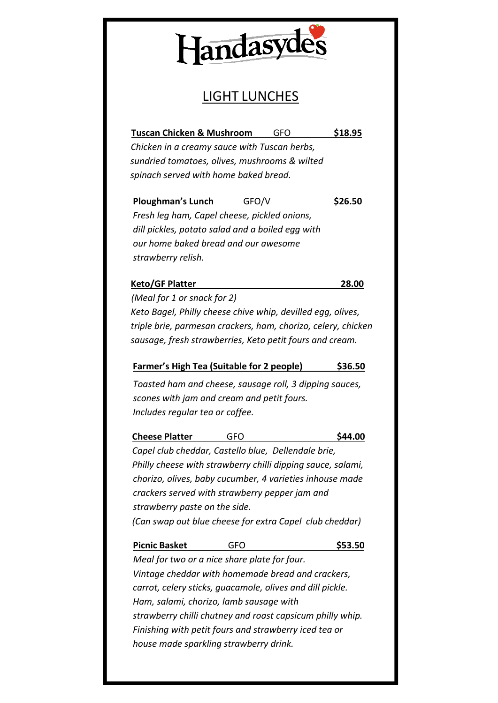

### LIGHT LUNCHES

**Tuscan Chicken & Mushroom** GFO **\$18.95** *Chicken in a creamy sauce with Tuscan herbs, sundried tomatoes, olives, mushrooms & wilted spinach served with home baked bread.*

**Ploughman's Lunch** GFO/V **\$26.50** *Fresh leg ham, Capel cheese, pickled onions, dill pickles, potato salad and a boiled egg with our home baked bread and our awesome strawberry relish.*

#### **Keto/GF Platter 28.00**

*(Meal for 1 or snack for 2) Keto Bagel, Philly cheese chive whip, devilled egg, olives, triple brie, parmesan crackers, ham, chorizo, celery, chicken sausage, fresh strawberries, Keto petit fours and cream.*

#### **Farmer's High Tea (Suitable for 2 people) \$36.50**

*Toasted ham and cheese, sausage roll, 3 dipping sauces, scones with jam and cream and petit fours. Includes regular tea or coffee.*

#### **Cheese Platter** GFO **\$44.00**

*Capel club cheddar, Castello blue, Dellendale brie, Philly cheese with strawberry chilli dipping sauce, salami, chorizo, olives, baby cucumber, 4 varieties inhouse made crackers served with strawberry pepper jam and strawberry paste on the side. (Can swap out blue cheese for extra Capel club cheddar)*

#### **Picnic Basket** GFO **\$53.50**

*Meal for two or a nice share plate for four. Vintage cheddar with homemade bread and crackers, carrot, celery sticks, guacamole, olives and dill pickle. Ham, salami, chorizo, lamb sausage with strawberry chilli chutney and roast capsicum philly whip. Finishing with petit fours and strawberry iced tea or house made sparkling strawberry drink.*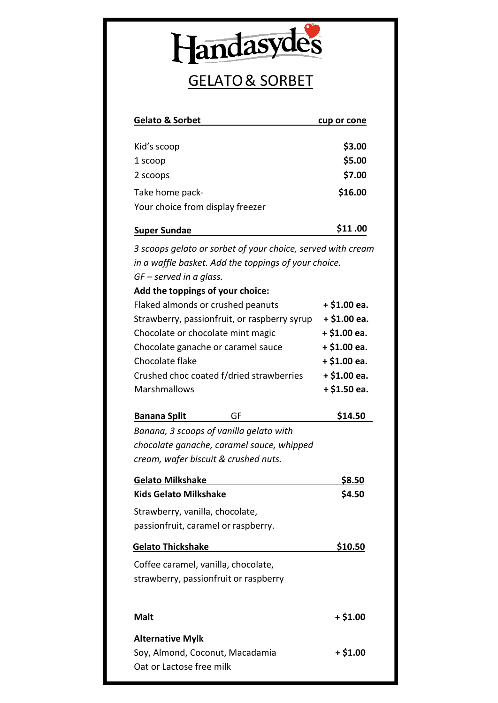

### GELATO& SORBET

| <b>Gelato &amp; Sorbet</b>                                                                                          | cup or cone |
|---------------------------------------------------------------------------------------------------------------------|-------------|
| Kid's scoop                                                                                                         | \$3.00      |
| 1 scoop                                                                                                             | \$5.00      |
| 2 scoops                                                                                                            | \$7.00      |
| Take home pack-                                                                                                     | \$16.00     |
| Your choice from display freezer                                                                                    |             |
| <b>Super Sundae</b>                                                                                                 | \$11.00     |
| 3 scoops gelato or sorbet of your choice, served with cream<br>in a waffle basket. Add the toppings of your choice. |             |

*GF – served in a glass.*

Oat or Lactose free milk

| Add the toppings of your choice:             |               |
|----------------------------------------------|---------------|
| Flaked almonds or crushed peanuts            | $+ $1.00$ ea. |
| Strawberry, passionfruit, or raspberry syrup | $+ $1.00$ ea. |
| Chocolate or chocolate mint magic            | $+ $1.00$ ea. |
| Chocolate ganache or caramel sauce           | $+ $1.00$ ea. |
| Chocolate flake                              | $+ $1.00$ ea. |
| Crushed choc coated f/dried strawberries     | $+ $1.00$ ea. |
| Marshmallows                                 | $+ $1.50$ ea. |
|                                              |               |

**Banana Split** GF **\$14.50** *Banana, 3 scoops of vanilla gelato with chocolate ganache, caramel sauce, whipped cream, wafer biscuit & crushed nuts.*

| <b>Gelato Milkshake</b>               | \$8.50    |
|---------------------------------------|-----------|
| Kids Gelato Milkshake                 | \$4.50    |
| Strawberry, vanilla, chocolate,       |           |
| passionfruit, caramel or raspberry.   |           |
| <b>Gelato Thickshake</b>              | \$10.50   |
| Coffee caramel, vanilla, chocolate,   |           |
| strawberry, passionfruit or raspberry |           |
|                                       |           |
| Malt                                  | $+ $1.00$ |
| <b>Alternative Mylk</b>               |           |
| Soy, Almond, Coconut, Macadamia       | + \$1.00  |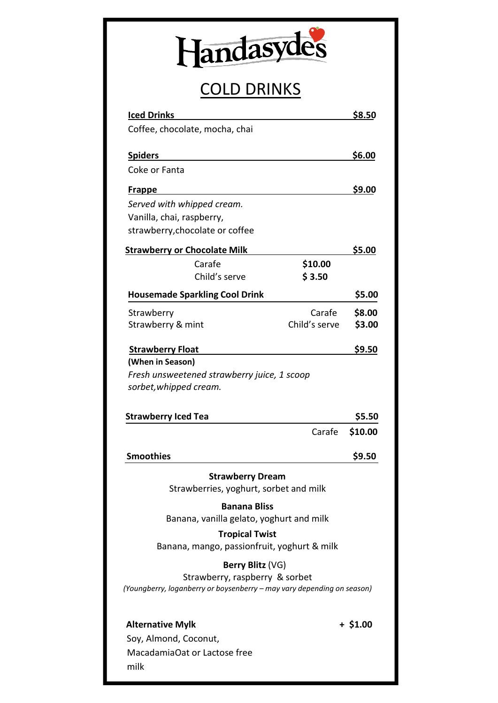| andasvo.<br>66 |
|----------------|
|                |

## COLD DRINKS

| <b>Iced Drinks</b>                                                                                       |               | \$8.50        |
|----------------------------------------------------------------------------------------------------------|---------------|---------------|
| Coffee, chocolate, mocha, chai                                                                           |               |               |
| <b>Spiders</b>                                                                                           |               | \$6.00        |
| Coke or Fanta                                                                                            |               |               |
| <b>Frappe</b>                                                                                            |               | \$9.00        |
| Served with whipped cream.                                                                               |               |               |
| Vanilla, chai, raspberry,                                                                                |               |               |
| strawberry, chocolate or coffee                                                                          |               |               |
| <b>Strawberry or Chocolate Milk</b>                                                                      |               | <u>\$5.00</u> |
| Carafe<br>Child's serve                                                                                  | \$10.00       |               |
|                                                                                                          | \$3.50        |               |
| <b>Housemade Sparkling Cool Drink</b>                                                                    |               | \$5.00        |
| Strawberry                                                                                               | Carafe        | \$8.00        |
| Strawberry & mint                                                                                        | Child's serve | \$3.00        |
| <b>Strawberry Float</b>                                                                                  |               | \$9.50        |
| (When in Season)                                                                                         |               |               |
| Fresh unsweetened strawberry juice, 1 scoop                                                              |               |               |
| sorbet, whipped cream.                                                                                   |               |               |
| <b>Strawberry Iced Tea</b>                                                                               |               | \$5.50        |
|                                                                                                          | Carafe        | \$10.00       |
|                                                                                                          |               |               |
| <b>Smoothies</b>                                                                                         |               | \$9.50        |
| <b>Strawberry Dream</b>                                                                                  |               |               |
| Strawberries, yoghurt, sorbet and milk                                                                   |               |               |
| <b>Banana Bliss</b><br>Banana, vanilla gelato, yoghurt and milk                                          |               |               |
| <b>Tropical Twist</b><br>Banana, mango, passionfruit, yoghurt & milk                                     |               |               |
| Berry Blitz (VG)                                                                                         |               |               |
| Strawberry, raspberry & sorbet<br>(Youngberry, loganberry or boysenberry - may vary depending on season) |               |               |
| <b>Alternative Mylk</b>                                                                                  |               | $+ $1.00$     |
| Soy, Almond, Coconut,                                                                                    |               |               |
| MacadamiaOat or Lactose free                                                                             |               |               |
| milk                                                                                                     |               |               |